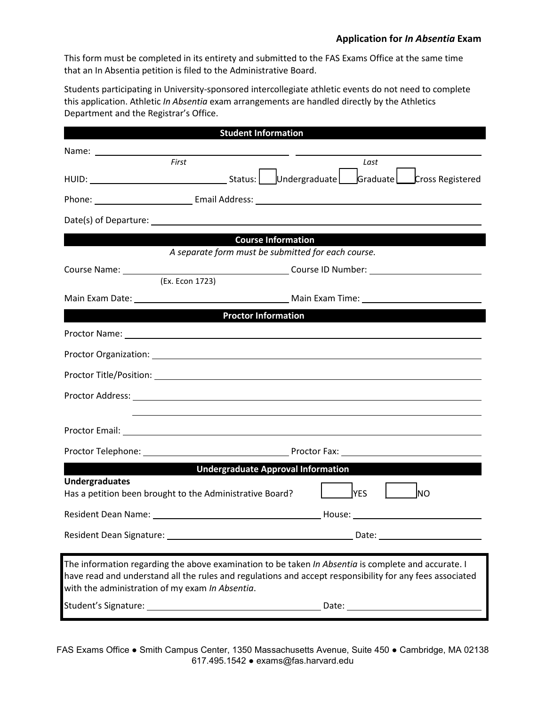This form must be completed in its entirety and submitted to the FAS Exams Office at the same time that an In Absentia petition is filed to the Administrative Board.

Students participating in University-sponsored intercollegiate athletic events do not need to complete this application. Athletic *In Absentia* exam arrangements are handled directly by the Athletics Department and the Registrar's Office.

| <b>Student Information</b>                                                                                                                                                                                                                                                |                         |
|---------------------------------------------------------------------------------------------------------------------------------------------------------------------------------------------------------------------------------------------------------------------------|-------------------------|
|                                                                                                                                                                                                                                                                           |                         |
| First                                                                                                                                                                                                                                                                     | Last                    |
|                                                                                                                                                                                                                                                                           |                         |
|                                                                                                                                                                                                                                                                           |                         |
|                                                                                                                                                                                                                                                                           |                         |
| <b>Course Information</b>                                                                                                                                                                                                                                                 |                         |
| A separate form must be submitted for each course.                                                                                                                                                                                                                        |                         |
|                                                                                                                                                                                                                                                                           |                         |
| (Ex. Econ 1723)                                                                                                                                                                                                                                                           |                         |
|                                                                                                                                                                                                                                                                           |                         |
| <b>Example 12 Service Service Service Service Service Service Service Service Service Service Service Service Service Service Service Service Service Service Service Service Service Service Service Service Service Service Se</b>                                      |                         |
| Proctor Name: 1988 and 2008 and 2008 and 2008 and 2008 and 2008 and 2008 and 2008 and 2008 and 2008 and 2008 and 2008 and 2008 and 2008 and 2008 and 2008 and 2008 and 2008 and 2008 and 2008 and 2008 and 2008 and 2008 and 2                                            |                         |
|                                                                                                                                                                                                                                                                           |                         |
|                                                                                                                                                                                                                                                                           |                         |
|                                                                                                                                                                                                                                                                           |                         |
|                                                                                                                                                                                                                                                                           |                         |
|                                                                                                                                                                                                                                                                           |                         |
| <b>Undergraduate Approval Information</b>                                                                                                                                                                                                                                 |                         |
| <b>Undergraduates</b>                                                                                                                                                                                                                                                     |                         |
| Has a petition been brought to the Administrative Board?                                                                                                                                                                                                                  | <b>YES</b><br><b>NO</b> |
|                                                                                                                                                                                                                                                                           |                         |
|                                                                                                                                                                                                                                                                           |                         |
| The information regarding the above examination to be taken <i>In Absentia</i> is complete and accurate. I<br>have read and understand all the rules and regulations and accept responsibility for any fees associated<br>with the administration of my exam In Absentia. |                         |
|                                                                                                                                                                                                                                                                           |                         |
|                                                                                                                                                                                                                                                                           |                         |

FAS Exams Office ● Smith Campus Center, 1350 Massachusetts Avenue, Suite 450 ● Cambridge, MA 02138 617.495.1542 ● exams@fas.harvard.edu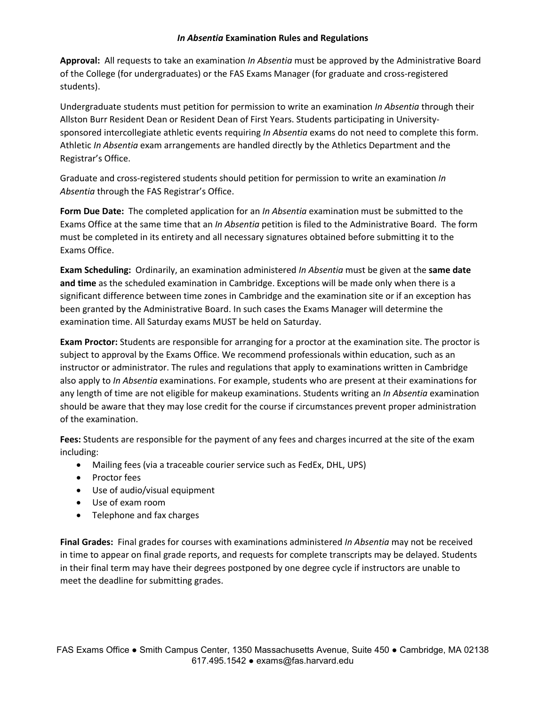## *In Absentia* **Examination Rules and Regulations**

**Approval:** All requests to take an examination *In Absentia* must be approved by the Administrative Board of the College (for undergraduates) or the FAS Exams Manager (for graduate and cross-registered students).

Undergraduate students must petition for permission to write an examination *In Absentia* through their Allston Burr Resident Dean or Resident Dean of First Years. Students participating in Universitysponsored intercollegiate athletic events requiring *In Absentia* exams do not need to complete this form. Athletic *In Absentia* exam arrangements are handled directly by the Athletics Department and the Registrar's Office.

Graduate and cross-registered students should petition for permission to write an examination *In Absentia* through the FAS Registrar's Office.

**Form Due Date:** The completed application for an *In Absentia* examination must be submitted to the Exams Office at the same time that an *In Absentia* petition is filed to the Administrative Board. The form must be completed in its entirety and all necessary signatures obtained before submitting it to the Exams Office.

**Exam Scheduling:** Ordinarily, an examination administered *In Absentia* must be given at the **same date and time** as the scheduled examination in Cambridge. Exceptions will be made only when there is a significant difference between time zones in Cambridge and the examination site or if an exception has been granted by the Administrative Board. In such cases the Exams Manager will determine the examination time. All Saturday exams MUST be held on Saturday.

**Exam Proctor:** Students are responsible for arranging for a proctor at the examination site. The proctor is subject to approval by the Exams Office. We recommend professionals within education, such as an instructor or administrator. The rules and regulations that apply to examinations written in Cambridge also apply to *In Absentia* examinations. For example, students who are present at their examinations for any length of time are not eligible for makeup examinations. Students writing an *In Absentia* examination should be aware that they may lose credit for the course if circumstances prevent proper administration of the examination.

**Fees:** Students are responsible for the payment of any fees and charges incurred at the site of the exam including:

- Mailing fees (via a traceable courier service such as FedEx, DHL, UPS)
- Proctor fees
- Use of audio/visual equipment
- Use of exam room
- Telephone and fax charges

**Final Grades:** Final grades for courses with examinations administered *In Absentia* may not be received in time to appear on final grade reports, and requests for complete transcripts may be delayed. Students in their final term may have their degrees postponed by one degree cycle if instructors are unable to meet the deadline for submitting grades.